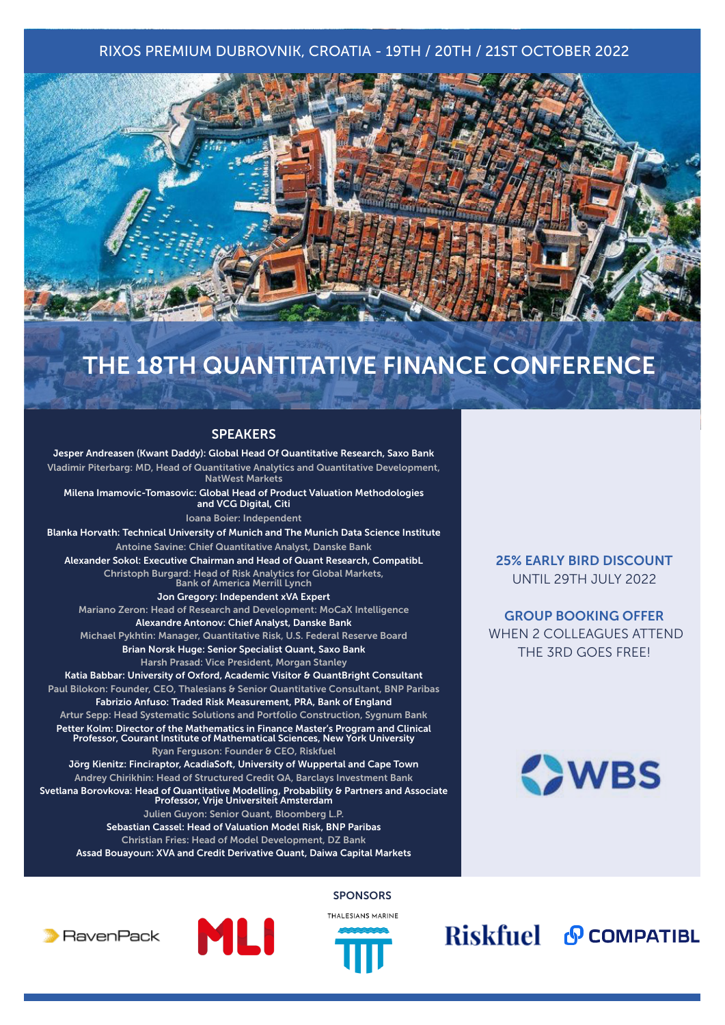# RIXOS PREMIUM DUBROVNIK, CROATIA - 19TH / 20TH / 21ST OCTOBER 2022



# THE 18TH QUANTITATIVE FINANCE CONFERENCE

## **SPEAKERS**

Jesper Andreasen (Kwant Daddy): Global Head Of Quantitative Research, Saxo Bank Vladimir Piterbarg: MD, Head of Quantitative Analytics and Quantitative Development, NatWest Markets Milena Imamovic-Tomasovic: Global Head of Product Valuation Methodologies and VCG Digital, Citi Ioana Boier: Independent Blanka Horvath: Technical University of Munich and The Munich Data Science Institute Antoine Savine: Chief Quantitative Analyst, Danske Bank Alexander Sokol: Executive Chairman and Head of Quant Research, CompatibL Christoph Burgard: Head of Risk Analytics for Global Markets, Bank of America Merrill Lynch Jon Gregory: Independent xVA Expert Mariano Zeron: Head of Research and Development: MoCaX Intelligence Alexandre Antonov: Chief Analyst, Danske Bank Michael Pykhtin: Manager, Quantitative Risk, U.S. Federal Reserve Board Brian Norsk Huge: Senior Specialist Quant, Saxo Bank Harsh Prasad: Vice President, Morgan Stanley Katia Babbar: University of Oxford, Academic Visitor & QuantBright Consultant Paul Bilokon: Founder, CEO, Thalesians & Senior Quantitative Consultant, BNP Paribas Fabrizio Anfuso: Traded Risk Measurement, PRA, Bank of England Artur Sepp: Head Systematic Solutions and Portfolio Construction, Sygnum Bank Petter Kolm: Director of the Mathematics in Finance Master's Program and Clinical Professor, Courant Institute of Mathematical Sciences, New York University Ryan Ferguson: Founder & CEO, Riskfuel Jörg Kienitz: Finciraptor, AcadiaSoft, University of Wuppertal and Cape Town Andrey Chirikhin: Head of Structured Credit QA, Barclays Investment Bank Svetlana Borovkova: Head of Quantitative Modelling, Probability & Partners and Associate Professor, Vrije Universiteit Amsterdam Julien Guyon: Senior Quant, Bloomberg L.P. Sebastian Cassel: Head of Valuation Model Risk, BNP Paribas Christian Fries: Head of Model Development, DZ Bank Assad Bouayoun: XVA and Credit Derivative Quant, Daiwa Capital Markets

25% EARLY BIRD DISCOUNT UNTIL 29TH JULY 2022

GROUP BOOKING OFFER WHEN 2 COLLEAGUES ATTEND THE 3RD GOES FREE!



**SPONSORS** 







Riskfuel & COMPATIBL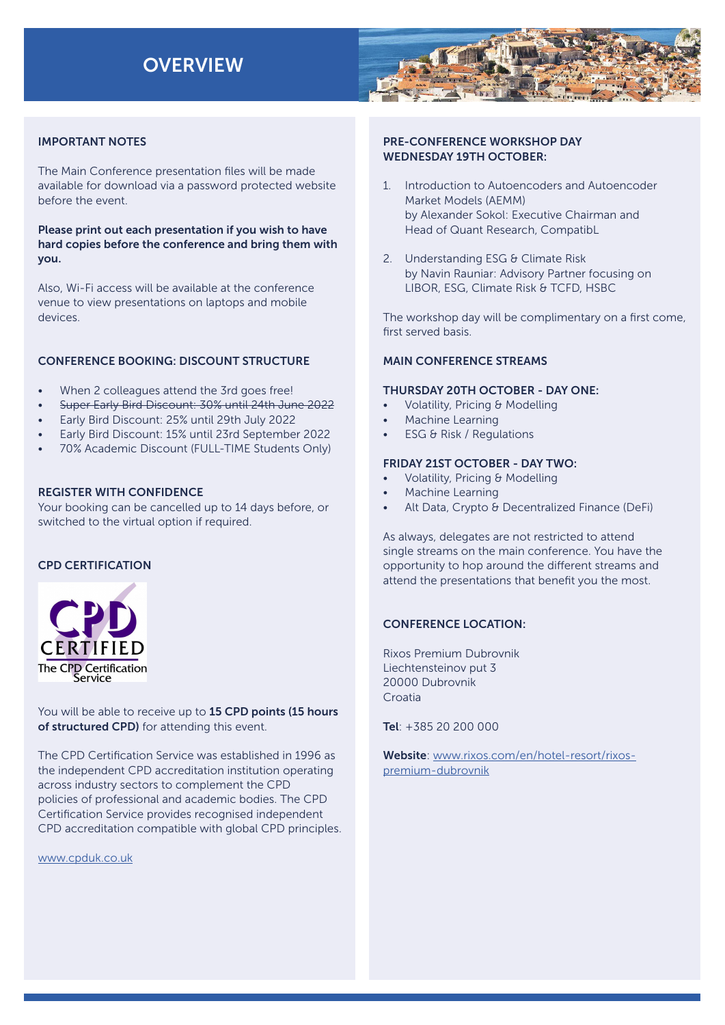# **OVERVIEW**



## IMPORTANT NOTES

The Main Conference presentation files will be made available for download via a password protected website before the event.

Please print out each presentation if you wish to have hard copies before the conference and bring them with you.

Also, Wi-Fi access will be available at the conference venue to view presentations on laptops and mobile devices.

# CONFERENCE BOOKING: DISCOUNT STRUCTURE

- When 2 colleagues attend the 3rd goes free!
- Super Early Bird Discount: 30% until 24th June 2022
- Early Bird Discount: 25% until 29th July 2022
- Early Bird Discount: 15% until 23rd September 2022
- 70% Academic Discount (FULL-TIME Students Only)

#### REGISTER WITH CONFIDENCE

Your booking can be cancelled up to 14 days before, or switched to the virtual option if required.

# CPD CERTIFICATION



You will be able to receive up to 15 CPD points (15 hours of structured CPD) for attending this event.

The CPD Certification Service was established in 1996 as the independent CPD accreditation institution operating across industry sectors to complement the CPD policies of professional and academic bodies. The CPD Certification Service provides recognised independent CPD accreditation compatible with global CPD principles.

[www.cpduk.co.uk](https://cpduk.co.uk)

## PRE-CONFERENCE WORKSHOP DAY WEDNESDAY 19TH OCTOBER:

- 1. Introduction to Autoencoders and Autoencoder Market Models (AEMM) by Alexander Sokol: Executive Chairman and Head of Quant Research, CompatibL
- 2. Understanding ESG & Climate Risk by Navin Rauniar: Advisory Partner focusing on LIBOR, ESG, Climate Risk & TCFD, HSBC

The workshop day will be complimentary on a first come, first served basis.

## MAIN CONFERENCE STREAMS

#### THURSDAY 20TH OCTOBER - DAY ONE:

- Volatility, Pricing & Modelling
- Machine Learning
- ESG & Risk / Regulations

## FRIDAY 21ST OCTOBER - DAY TWO:

- Volatility, Pricing & Modelling
- Machine Learning
- Alt Data, Crypto & Decentralized Finance (DeFi)

As always, delegates are not restricted to attend single streams on the main conference. You have the opportunity to hop around the different streams and attend the presentations that benefit you the most.

# CONFERENCE LOCATION:

Rixos Premium Dubrovnik Liechtensteinov put 3 20000 Dubrovnik Croatia

Tel: +385 20 200 000

Website: [www.rixos.com/en/hotel-resort/rixos](https://www.rixos.com/en/hotel-resort/rixos-premium-dubrovnik)[premium-dubrovnik](https://www.rixos.com/en/hotel-resort/rixos-premium-dubrovnik)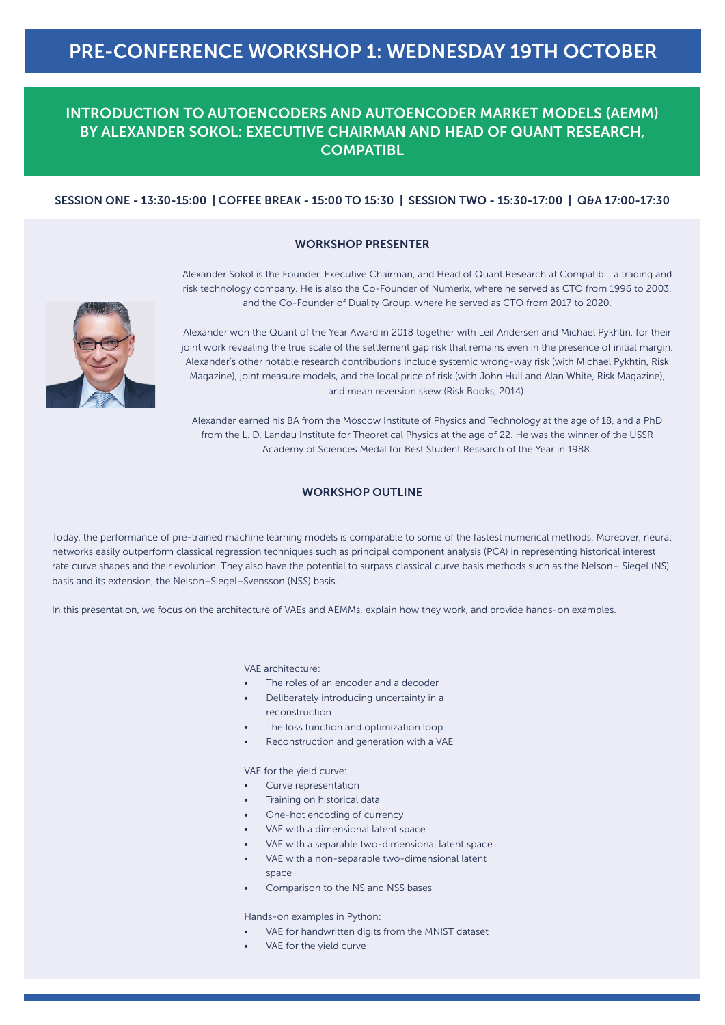# INTRODUCTION TO AUTOENCODERS AND AUTOENCODER MARKET MODELS (AEMM) BY ALEXANDER SOKOL: EXECUTIVE CHAIRMAN AND HEAD OF QUANT RESEARCH, **COMPATIBL**

## SESSION ONE - 13:30-15:00 | COFFEE BREAK - 15:00 TO 15:30 | SESSION TWO - 15:30-17:00 | Q&A 17:00-17:30

#### WORKSHOP PRESENTER

Alexander Sokol is the Founder, Executive Chairman, and Head of Quant Research at CompatibL, a trading and risk technology company. He is also the Co-Founder of Numerix, where he served as CTO from 1996 to 2003, and the Co-Founder of Duality Group, where he served as CTO from 2017 to 2020.



Alexander won the Quant of the Year Award in 2018 together with Leif Andersen and Michael Pykhtin, for their joint work revealing the true scale of the settlement gap risk that remains even in the presence of initial margin. Alexander's other notable research contributions include systemic wrong-way risk (with Michael Pykhtin, Risk Magazine), joint measure models, and the local price of risk (with John Hull and Alan White, Risk Magazine), and mean reversion skew (Risk Books, 2014).

Alexander earned his BA from the Moscow Institute of Physics and Technology at the age of 18, and a PhD from the L. D. Landau Institute for Theoretical Physics at the age of 22. He was the winner of the USSR Academy of Sciences Medal for Best Student Research of the Year in 1988.

#### WORKSHOP OUTLINE

Today, the performance of pre-trained machine learning models is comparable to some of the fastest numerical methods. Moreover, neural networks easily outperform classical regression techniques such as principal component analysis (PCA) in representing historical interest rate curve shapes and their evolution. They also have the potential to surpass classical curve basis methods such as the Nelson– Siegel (NS) basis and its extension, the Nelson–Siegel–Svensson (NSS) basis.

In this presentation, we focus on the architecture of VAEs and AEMMs, explain how they work, and provide hands-on examples.

VAE architecture:

- The roles of an encoder and a decoder
- Deliberately introducing uncertainty in a reconstruction
- The loss function and optimization loop
- Reconstruction and generation with a VAE

VAE for the yield curve:

- Curve representation
- Training on historical data
- One-hot encoding of currency
- VAE with a dimensional latent space
- VAE with a separable two-dimensional latent space
- VAE with a non-separable two-dimensional latent space
- Comparison to the NS and NSS bases

Hands-on examples in Python:

- VAE for handwritten digits from the MNIST dataset
- VAE for the yield curve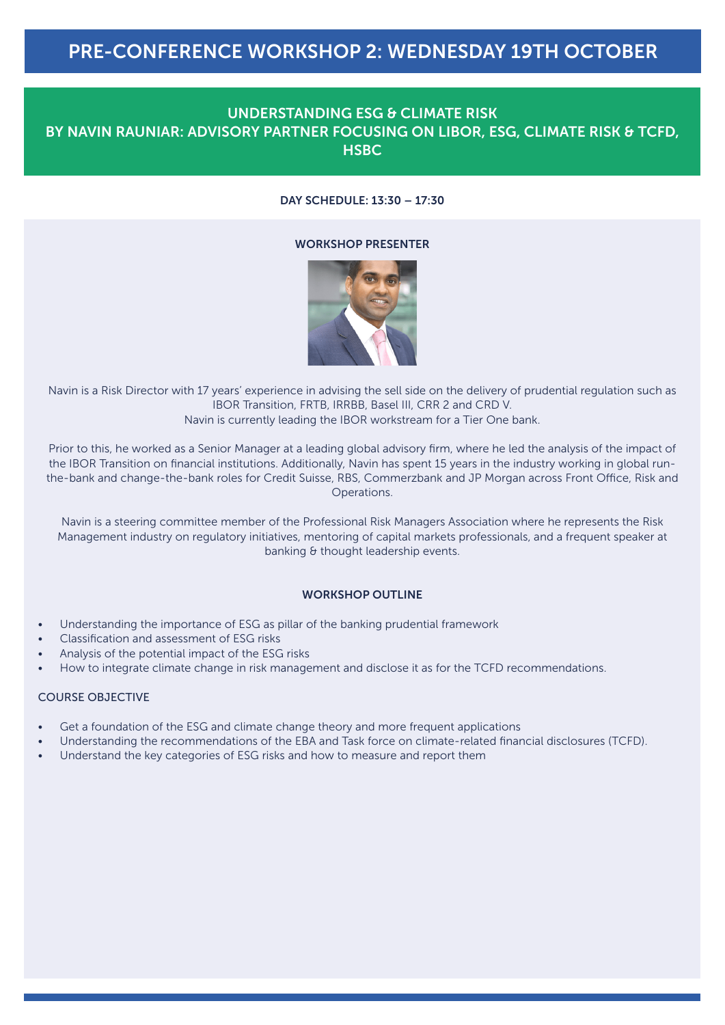# PRE-CONFERENCE WORKSHOP 2: WEDNESDAY 19TH OCTOBER

# UNDERSTANDING ESG & CLIMATE RISK BY NAVIN RAUNIAR: ADVISORY PARTNER FOCUSING ON LIBOR, ESG, CLIMATE RISK & TCFD, **HSBC**

## DAY SCHEDULE: 13:30 – 17:30

#### WORKSHOP PRESENTER



Navin is a Risk Director with 17 years' experience in advising the sell side on the delivery of prudential regulation such as IBOR Transition, FRTB, IRRBB, Basel III, CRR 2 and CRD V.

Navin is currently leading the IBOR workstream for a Tier One bank.

Prior to this, he worked as a Senior Manager at a leading global advisory firm, where he led the analysis of the impact of the IBOR Transition on financial institutions. Additionally, Navin has spent 15 years in the industry working in global runthe-bank and change-the-bank roles for Credit Suisse, RBS, Commerzbank and JP Morgan across Front Office, Risk and Operations.

Navin is a steering committee member of the Professional Risk Managers Association where he represents the Risk Management industry on regulatory initiatives, mentoring of capital markets professionals, and a frequent speaker at banking & thought leadership events.

## WORKSHOP OUTLINE

- Understanding the importance of ESG as pillar of the banking prudential framework
- Classification and assessment of ESG risks
- Analysis of the potential impact of the ESG risks
- How to integrate climate change in risk management and disclose it as for the TCFD recommendations.

#### COURSE OBJECTIVE

- Get a foundation of the ESG and climate change theory and more frequent applications
- Understanding the recommendations of the EBA and Task force on climate-related financial disclosures (TCFD).
- Understand the key categories of ESG risks and how to measure and report them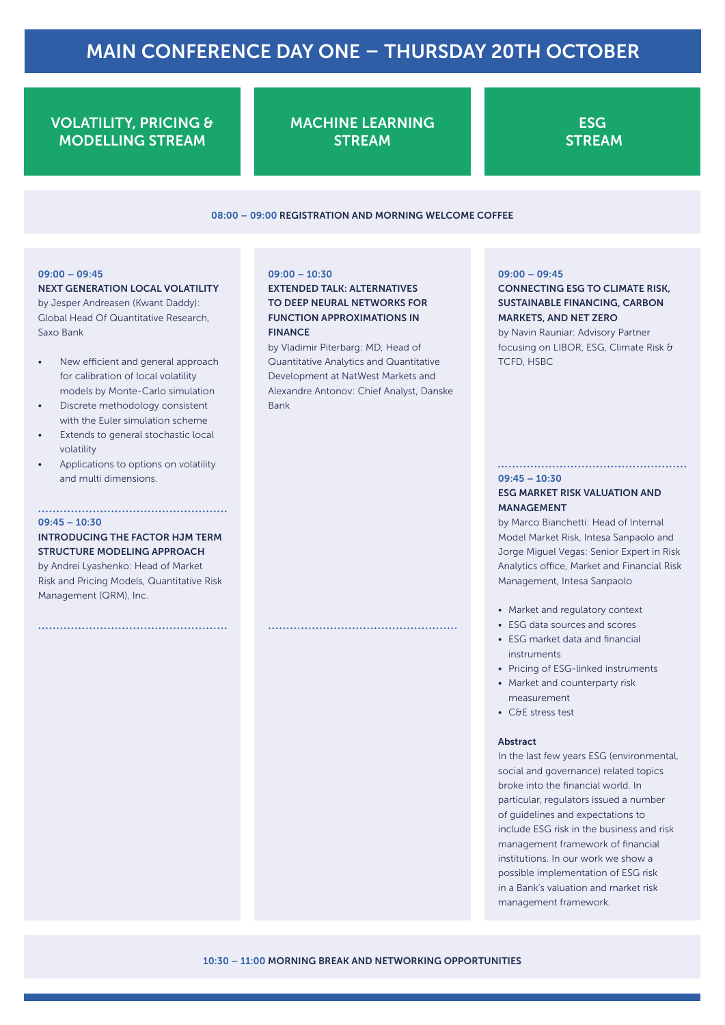# VOLATILITY, PRICING & MODELLING STREAM

MACHINE LEARNING **STREAM** 

**ESG STREAM** 

#### 08:00 – 09:00 REGISTRATION AND MORNING WELCOME COFFEE

#### 09:00 – 09:45

#### NEXT GENERATION LOCAL VOLATILITY

by Jesper Andreasen (Kwant Daddy): Global Head Of Quantitative Research, Saxo Bank

- New efficient and general approach for calibration of local volatility models by Monte-Carlo simulation
- Discrete methodology consistent with the Euler simulation scheme
- Extends to general stochastic local volatility
- Applications to options on volatility and multi dimensions.

#### 09:45 – 10:30

## INTRODUCING THE FACTOR HJM TERM STRUCTURE MODELING APPROACH

by Andrei Lyashenko: Head of Market Risk and Pricing Models, Quantitative Risk Management (QRM), Inc.

#### 09:00 – 10:30

## EXTENDED TALK: ALTERNATIVES TO DEEP NEURAL NETWORKS FOR FUNCTION APPROXIMATIONS IN FINANCE

by Vladimir Piterbarg: MD, Head of Quantitative Analytics and Quantitative Development at NatWest Markets and Alexandre Antonov: Chief Analyst, Danske Bank

#### 09:00 – 09:45

# CONNECTING ESG TO CLIMATE RISK, SUSTAINABLE FINANCING, CARBON MARKETS, AND NET ZERO

by Navin Rauniar: Advisory Partner focusing on LIBOR, ESG, Climate Risk & TCFD, HSBC

#### $09:45 - 10:30$

#### ESG MARKET RISK VALUATION AND MANAGEMENT

by Marco Bianchetti: Head of Internal Model Market Risk, Intesa Sanpaolo and Jorge Miguel Vegas: Senior Expert in Risk Analytics office, Market and Financial Risk Management, Intesa Sanpaolo

- Market and regulatory context
- ESG data sources and scores
- ESG market data and financial instruments
- Pricing of ESG-linked instruments
- Market and counterparty risk measurement
- C&E stress test

#### Abstract

In the last few years ESG (environmental, social and governance) related topics broke into the financial world. In particular, regulators issued a number of guidelines and expectations to include ESG risk in the business and risk management framework of financial institutions. In our work we show a possible implementation of ESG risk in a Bank's valuation and market risk management framework.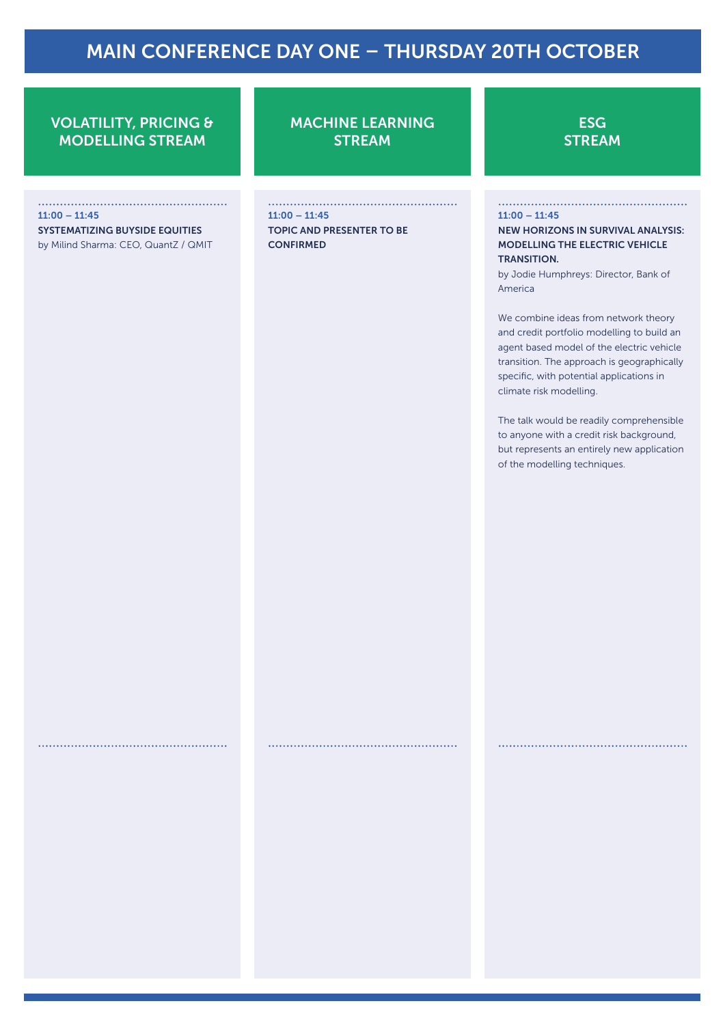# VOLATILITY, PRICING & MODELLING STREAM

11:00 – 11:45 SYSTEMATIZING BUYSIDE EQUITIES

by Milind Sharma: CEO, QuantZ / QMIT

MACHINE LEARNING **STREAM** 

11:00 – 11:45 TOPIC AND PRESENTER TO BE CONFIRMED

**ESG STREAM** 

#### 11:00 – 11:45

NEW HORIZONS IN SURVIVAL ANALYSIS: MODELLING THE ELECTRIC VEHICLE TRANSITION.

by Jodie Humphreys: Director, Bank of America

We combine ideas from network theory and credit portfolio modelling to build an agent based model of the electric vehicle transition. The approach is geographically specific, with potential applications in climate risk modelling.

The talk would be readily comprehensible to anyone with a credit risk background, but represents an entirely new application of the modelling techniques.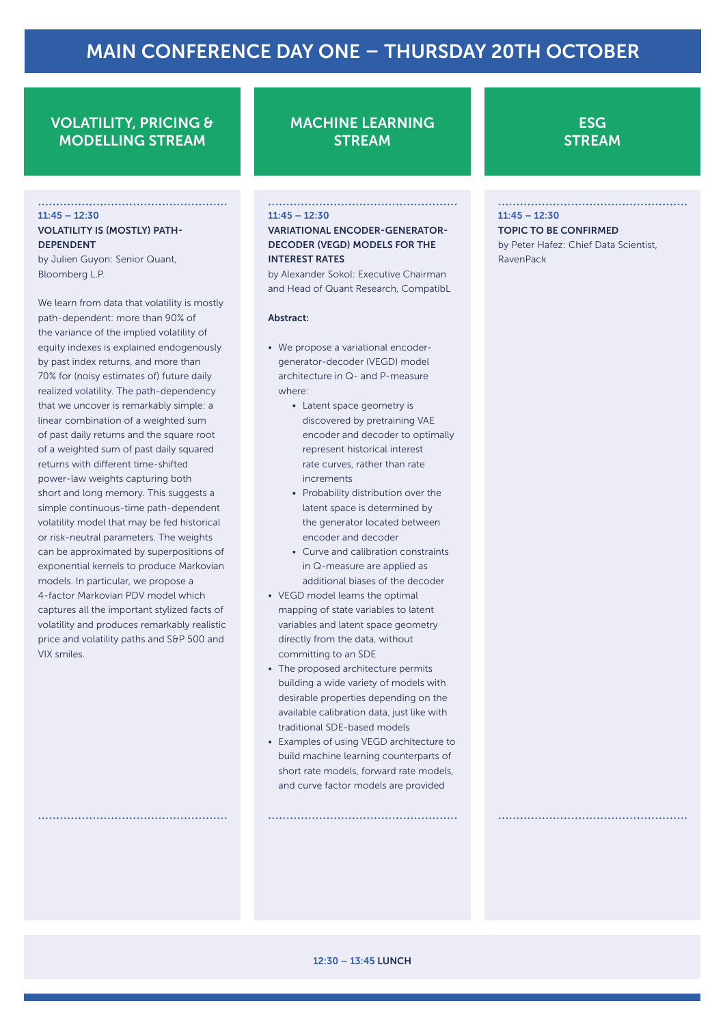# VOLATILITY, PRICING & MODELLING STREAM

#### $11:45 - 12:30$

#### VOLATILITY IS (MOSTLY) PATH-**DEPENDENT**

by Julien Guyon: Senior Quant, Bloomberg L.P.

We learn from data that volatility is mostly path-dependent: more than 90% of the variance of the implied volatility of equity indexes is explained endogenously by past index returns, and more than 70% for (noisy estimates of) future daily realized volatility. The path-dependency that we uncover is remarkably simple: a linear combination of a weighted sum of past daily returns and the square root of a weighted sum of past daily squared returns with different time-shifted power-law weights capturing both short and long memory. This suggests a simple continuous-time path-dependent volatility model that may be fed historical or risk-neutral parameters. The weights can be approximated by superpositions of exponential kernels to produce Markovian models. In particular, we propose a 4-factor Markovian PDV model which captures all the important stylized facts of volatility and produces remarkably realistic price and volatility paths and S&P 500 and VIX smiles.

# MACHINE LEARNING **STREAM**

#### $11:45 - 12:30$

VARIATIONAL ENCODER-GENERATOR-DECODER (VEGD) MODELS FOR THE INTEREST RATES

by Alexander Sokol: Executive Chairman and Head of Quant Research, CompatibL

#### Abstract:

- We propose a variational encodergenerator-decoder (VEGD) model architecture in Q- and P-measure where:
	- Latent space geometry is discovered by pretraining VAE encoder and decoder to optimally represent historical interest rate curves, rather than rate increments
	- Probability distribution over the latent space is determined by the generator located between encoder and decoder
	- Curve and calibration constraints in Q-measure are applied as additional biases of the decoder
- VEGD model learns the optimal mapping of state variables to latent variables and latent space geometry directly from the data, without committing to an SDE
- The proposed architecture permits building a wide variety of models with desirable properties depending on the available calibration data, just like with traditional SDE-based models
- Examples of using VEGD architecture to build machine learning counterparts of short rate models, forward rate models, and curve factor models are provided

# **ESG STREAM**

#### $11:45 - 12:30$

TOPIC TO BE CONFIRMED by Peter Hafez: Chief Data Scientist, RavenPack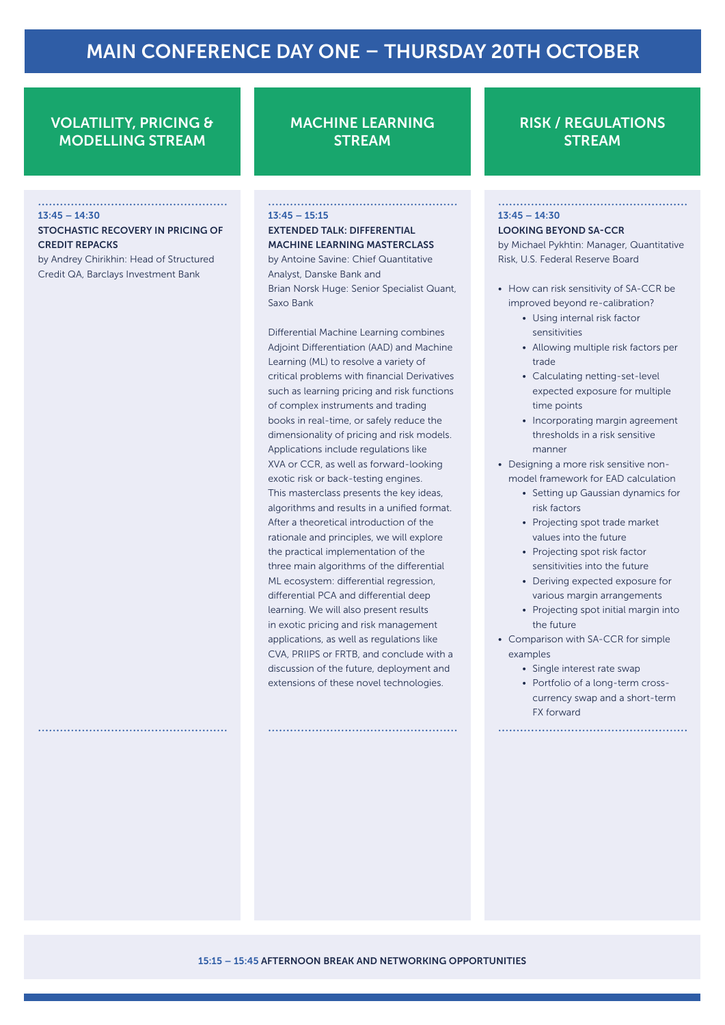# VOLATILITY, PRICING & MODELLING STREAM

#### $13:45 - 14:30$

#### STOCHASTIC RECOVERY IN PRICING OF CREDIT REPACKS

by Andrey Chirikhin: Head of Structured Credit QA, Barclays Investment Bank

# MACHINE LEARNING **STREAM**

#### $13:45 - 15:15$

#### EXTENDED TALK: DIFFERENTIAL MACHINE LEARNING MASTERCLASS by Antoine Savine: Chief Quantitative Analyst, Danske Bank and Brian Norsk Huge: Senior Specialist Quant, Saxo Bank

Differential Machine Learning combines Adjoint Differentiation (AAD) and Machine Learning (ML) to resolve a variety of critical problems with financial Derivatives such as learning pricing and risk functions of complex instruments and trading books in real-time, or safely reduce the dimensionality of pricing and risk models. Applications include regulations like XVA or CCR, as well as forward-looking exotic risk or back-testing engines. This masterclass presents the key ideas, algorithms and results in a unified format. After a theoretical introduction of the rationale and principles, we will explore the practical implementation of the three main algorithms of the differential ML ecosystem: differential regression, differential PCA and differential deep learning. We will also present results in exotic pricing and risk management applications, as well as regulations like CVA, PRIIPS or FRTB, and conclude with a discussion of the future, deployment and extensions of these novel technologies.

# RISK / REGULATIONS **STREAM**

## $13:45 - 14:30$

#### LOOKING BEYOND SA-CCR

by Michael Pykhtin: Manager, Quantitative Risk, U.S. Federal Reserve Board

- How can risk sensitivity of SA-CCR be improved beyond re-calibration?
	- Using internal risk factor sensitivities
	- Allowing multiple risk factors per trade
	- Calculating netting-set-level expected exposure for multiple time points
	- Incorporating margin agreement thresholds in a risk sensitive manner
- Designing a more risk sensitive nonmodel framework for EAD calculation
	- Setting up Gaussian dynamics for risk factors
	- Projecting spot trade market values into the future
	- Projecting spot risk factor sensitivities into the future
	- Deriving expected exposure for various margin arrangements
	- Projecting spot initial margin into the future
- Comparison with SA-CCR for simple examples
	- Single interest rate swap
	- Portfolio of a long-term crosscurrency swap and a short-term FX forward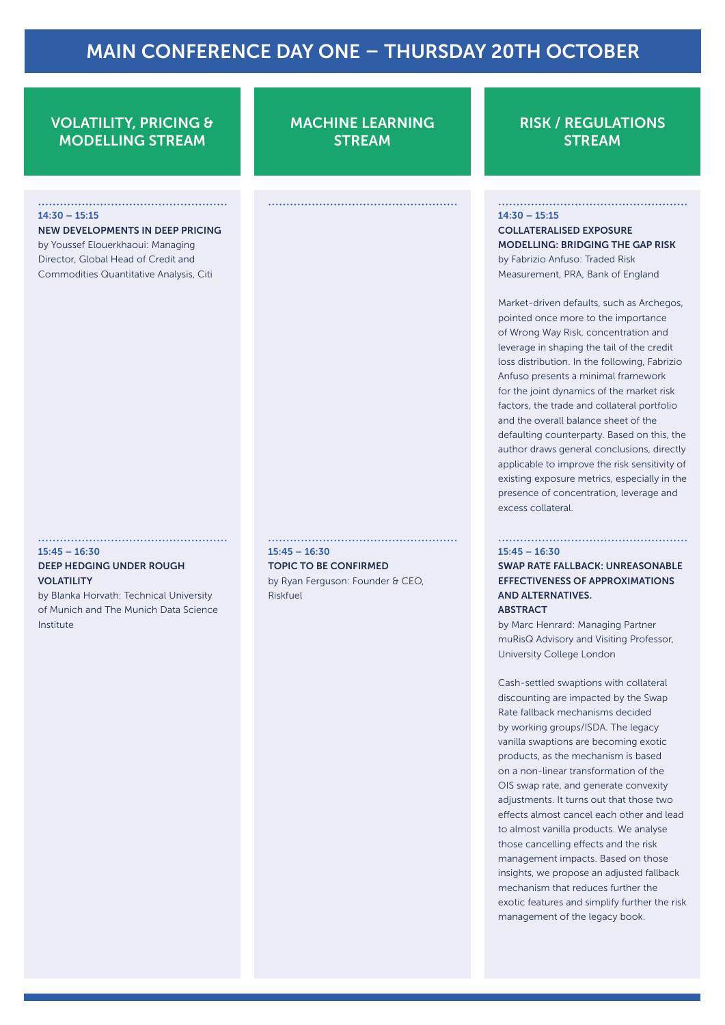# VOLATILITY, PRICING & MODELLING STREAM

#### $14:30 - 15:15$

NEW DEVELOPMENTS IN DEEP PRICING by Youssef Elouerkhaoui: Managing

Director, Global Head of Credit and Commodities Quantitative Analysis, Citi

#### $15:45 - 16:30$

## DEEP HEDGING UNDER ROUGH VOLATILITY

by Blanka Horvath: Technical University of Munich and The Munich Data Science Institute

MACHINE LEARNING **STREAM** 

RISK / REGULATIONS **STREAM** 

#### $14:30 - 15:15$

COLLATERALISED EXPOSURE MODELLING: BRIDGING THE GAP RISK by Fabrizio Anfuso: Traded Risk Measurement, PRA, Bank of England

Market-driven defaults, such as Archegos, pointed once more to the importance of Wrong Way Risk, concentration and leverage in shaping the tail of the credit loss distribution. In the following, Fabrizio Anfuso presents a minimal framework for the joint dynamics of the market risk factors, the trade and collateral portfolio and the overall balance sheet of the defaulting counterparty. Based on this, the author draws general conclusions, directly applicable to improve the risk sensitivity of existing exposure metrics, especially in the presence of concentration, leverage and excess collateral.

#### $15:45 - 16:30$

SWAP RATE FALLBACK: UNREASONABLE EFFECTIVENESS OF APPROXIMATIONS AND ALTERNATIVES. **ARSTRACT** 

by Marc Henrard: Managing Partner muRisQ Advisory and Visiting Professor, University College London

Cash-settled swaptions with collateral discounting are impacted by the Swap Rate fallback mechanisms decided by working groups/ISDA. The legacy vanilla swaptions are becoming exotic products, as the mechanism is based on a non-linear transformation of the OIS swap rate, and generate convexity adjustments. It turns out that those two effects almost cancel each other and lead to almost vanilla products. We analyse those cancelling effects and the risk management impacts. Based on those insights, we propose an adjusted fallback mechanism that reduces further the exotic features and simplify further the risk management of the legacy book.

#### $15:45 - 16:30$

#### TOPIC TO BE CONFIRMED

by Ryan Ferguson: Founder & CEO, Riskfuel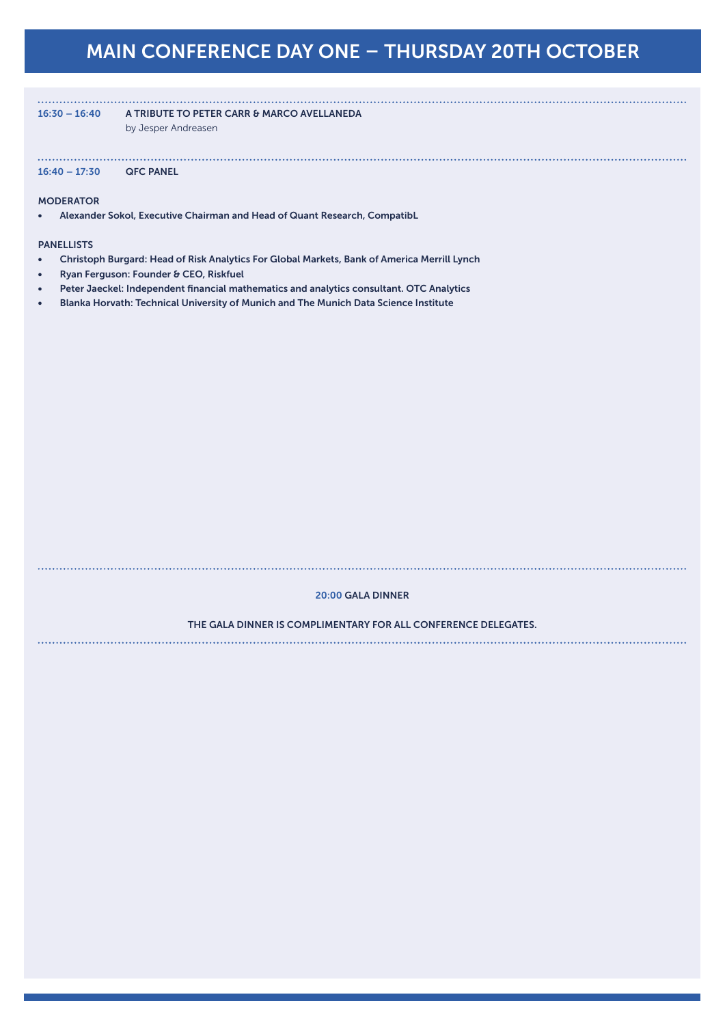16:30 – 16:40 A TRIBUTE TO PETER CARR & MARCO AVELLANEDA

by Jesper Andreasen

16:40 – 17:30 QFC PANEL

#### **MODERATOR**

• Alexander Sokol, Executive Chairman and Head of Quant Research, CompatibL

#### PANELLISTS

- Christoph Burgard: Head of Risk Analytics For Global Markets, Bank of America Merrill Lynch
- Ryan Ferguson: Founder & CEO, Riskfuel
- Peter Jaeckel: Independent financial mathematics and analytics consultant. OTC Analytics
- Blanka Horvath: Technical University of Munich and The Munich Data Science Institute

#### 20:00 GALA DINNER

#### THE GALA DINNER IS COMPLIMENTARY FOR ALL CONFERENCE DELEGATES.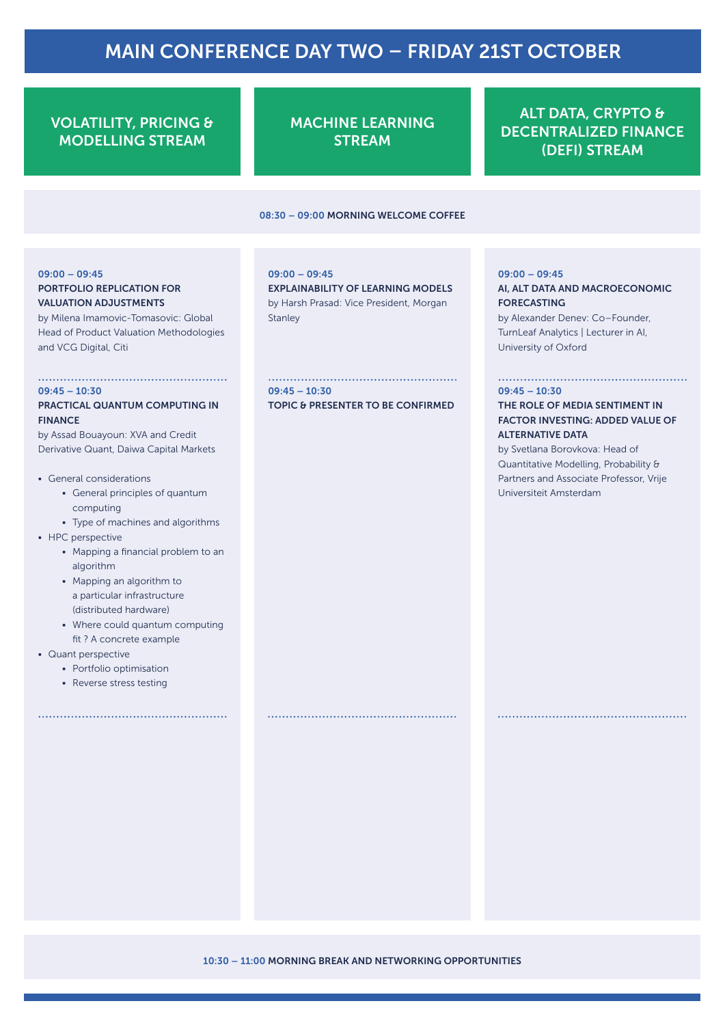# MAIN CONFERENCE DAY TWO – FRIDAY 21ST OCTOBER

# VOLATILITY, PRICING & MODELLING STREAM

MACHINE LEARNING **STREAM** 

08:30 – 09:00 MORNING WELCOME COFFEE

ALT DATA, CRYPTO & DECENTRALIZED FINANCE (DEFI) STREAM

# 09:00 – 09:45

# PORTFOLIO REPLICATION FOR VALUATION ADJUSTMENTS

by Milena Imamovic-Tomasovic: Global Head of Product Valuation Methodologies and VCG Digital, Citi

#### $09:45 - 10:30$

#### PRACTICAL QUANTUM COMPUTING IN FINANCE

by Assad Bouayoun: XVA and Credit Derivative Quant, Daiwa Capital Markets

- General considerations
	- General principles of quantum computing
	- Type of machines and algorithms
- HPC perspective
	- Mapping a financial problem to an algorithm
	- Mapping an algorithm to a particular infrastructure (distributed hardware)
	- Where could quantum computing fit ? A concrete example
- Quant perspective
	- Portfolio optimisation
	- Reverse stress testing

#### 09:00 – 09:45

EXPLAINABILITY OF LEARNING MODELS by Harsh Prasad: Vice President, Morgan **Stanley** 

 $09:45 - 10:30$ TOPIC & PRESENTER TO BE CONFIRMED

#### 09:00 – 09:45

# AI, ALT DATA AND MACROECONOMIC FORECASTING

by Alexander Denev: Co–Founder, TurnLeaf Analytics | Lecturer in AI, University of Oxford

#### $09:45 - 10:30$

### THE ROLE OF MEDIA SENTIMENT IN FACTOR INVESTING: ADDED VALUE OF ALTERNATIVE DATA

by Svetlana Borovkova: Head of Quantitative Modelling, Probability & Partners and Associate Professor, Vrije Universiteit Amsterdam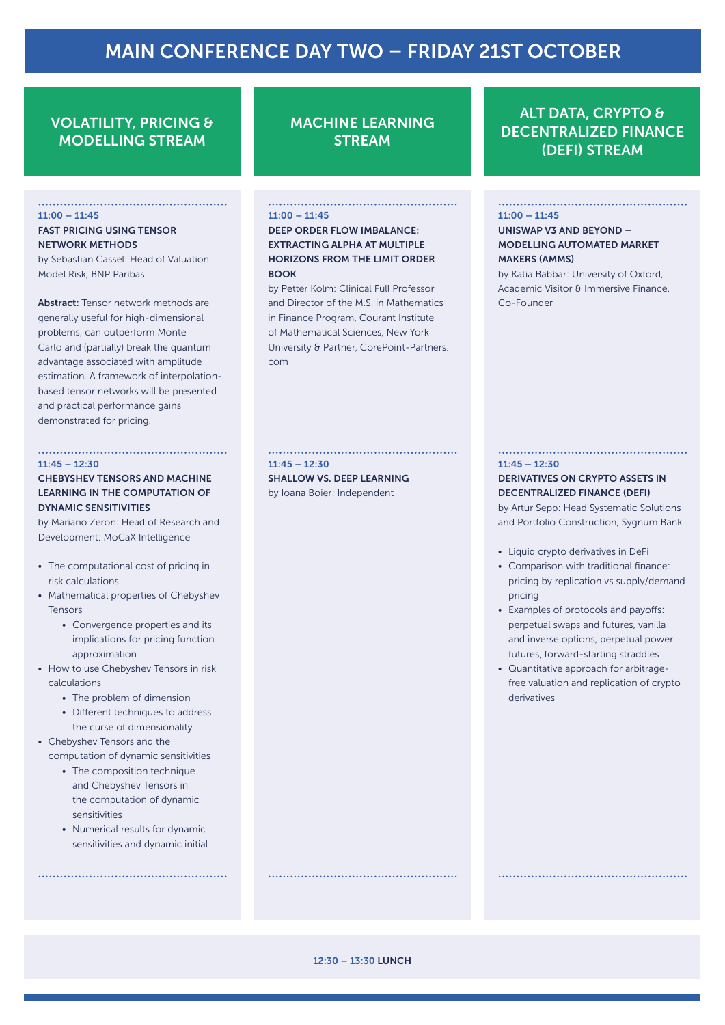# MAIN CONFERENCE DAY TWO – FRIDAY 21ST OCTOBER

# VOLATILITY, PRICING & MODELLING STREAM

#### $11:00 - 11:45$

#### FAST PRICING USING TENSOR NETWORK METHODS

by Sebastian Cassel: Head of Valuation Model Risk, BNP Paribas

Abstract: Tensor network methods are generally useful for high-dimensional problems, can outperform Monte Carlo and (partially) break the quantum advantage associated with amplitude estimation. A framework of interpolationbased tensor networks will be presented and practical performance gains demonstrated for pricing.

#### $11:45 = 12:30$

## CHEBYSHEV TENSORS AND MACHINE LEARNING IN THE COMPUTATION OF DYNAMIC SENSITIVITIES

by Mariano Zeron: Head of Research and Development: MoCaX Intelligence

- The computational cost of pricing in risk calculations
- Mathematical properties of Chebyshev Tensors
	- Convergence properties and its implications for pricing function approximation
- How to use Chebyshev Tensors in risk calculations
	- The problem of dimension
	- Different techniques to address the curse of dimensionality
- Chebyshev Tensors and the computation of dynamic sensitivities
	- The composition technique and Chebyshev Tensors in the computation of dynamic sensitivities
	- Numerical results for dynamic sensitivities and dynamic initial

# MACHINE LEARNING **STREAM**

### $11:00 - 11:45$

DEEP ORDER FLOW IMBALANCE: EXTRACTING ALPHA AT MULTIPLE HORIZONS FROM THE LIMIT ORDER **BOOK** 

by Petter Kolm: Clinical Full Professor and Director of the M.S. in Mathematics in Finance Program, Courant Institute of Mathematical Sciences, New York University & Partner, CorePoint-Partners. com

 $11:45 = 12:30$ 

SHALLOW VS. DEEP LEARNING by Ioana Boier: Independent

# ALT DATA, CRYPTO & DECENTRALIZED FINANCE (DEFI) STREAM

#### $11:00 - 11:45$

UNISWAP V3 AND BEYOND – MODELLING AUTOMATED MARKET MAKERS (AMMS)

by Katia Babbar: University of Oxford, Academic Visitor & Immersive Finance, Co-Founder

#### $11:45 = 12:30$

#### DERIVATIVES ON CRYPTO ASSETS IN DECENTRALIZED FINANCE (DEFI)

by Artur Sepp: Head Systematic Solutions and Portfolio Construction, Sygnum Bank

- Liquid crypto derivatives in DeFi
- Comparison with traditional finance: pricing by replication vs supply/demand pricing
- Examples of protocols and payoffs: perpetual swaps and futures, vanilla and inverse options, perpetual power futures, forward-starting straddles
- Quantitative approach for arbitragefree valuation and replication of crypto derivatives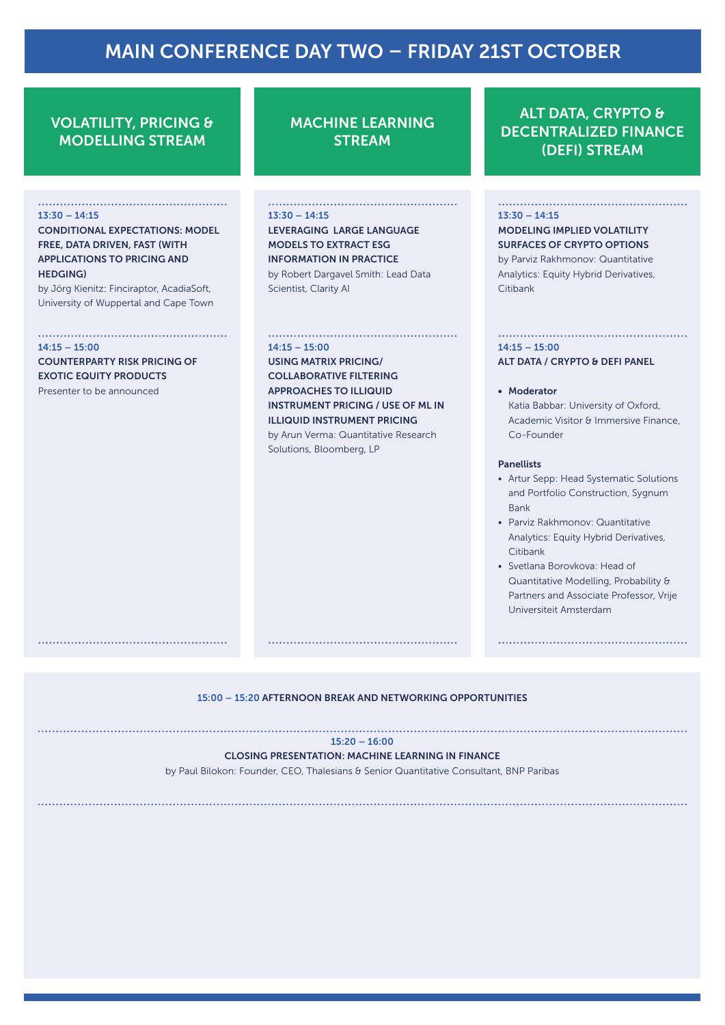# MAIN CONFERENCE DAY TWO – FRIDAY 21ST OCTOBER

# VOLATILITY, PRICING & MODELLING STREAM

#### 13:30 – 14:15

CONDITIONAL EXPECTATIONS: MODEL FREE, DATA DRIVEN, FAST (WITH APPLICATIONS TO PRICING AND HEDGING)

by Jörg Kienitz: Finciraptor, AcadiaSoft, University of Wuppertal and Cape Town

#### $14:15 - 15:00$

COUNTERPARTY RISK PRICING OF EXOTIC EQUITY PRODUCTS Presenter to be announced

MACHINE LEARNING **STREAM** 

13:30 – 14:15 LEVERAGING LARGE LANGUAGE MODELS TO EXTRACT ESG INFORMATION IN PRACTICE by Robert Dargavel Smith: Lead Data

Scientist, Clarity AI

#### $14:15 - 15:00$

USING MATRIX PRICING/ COLLABORATIVE FILTERING APPROACHES TO ILLIQUID INSTRUMENT PRICING / USE OF ML IN ILLIQUID INSTRUMENT PRICING by Arun Verma: Quantitative Research Solutions, Bloomberg, LP

# ALT DATA, CRYPTO & DECENTRALIZED FINANCE (DEFI) STREAM

#### $13:30 - 14:15$

## MODELING IMPLIED VOLATILITY SURFACES OF CRYPTO OPTIONS

by Parviz Rakhmonov: Quantitative Analytics: Equity Hybrid Derivatives, Citibank

# $14:15 = 15:00$

#### ALT DATA / CRYPTO & DEFI PANEL

#### • Moderator

Katia Babbar: University of Oxford, Academic Visitor & Immersive Finance, Co-Founder

#### Panellists

- Artur Sepp: Head Systematic Solutions and Portfolio Construction, Sygnum Bank
- Parviz Rakhmonov: Quantitative Analytics: Equity Hybrid Derivatives, Citibank
- Svetlana Borovkova: Head of Quantitative Modelling, Probability & Partners and Associate Professor, Vrije Universiteit Amsterdam

15:00 – 15:20 AFTERNOON BREAK AND NETWORKING OPPORTUNITIES

#### 15:20 – 16:00

#### CLOSING PRESENTATION: MACHINE LEARNING IN FINANCE

by Paul Bilokon: Founder, CEO, Thalesians & Senior Quantitative Consultant, BNP Paribas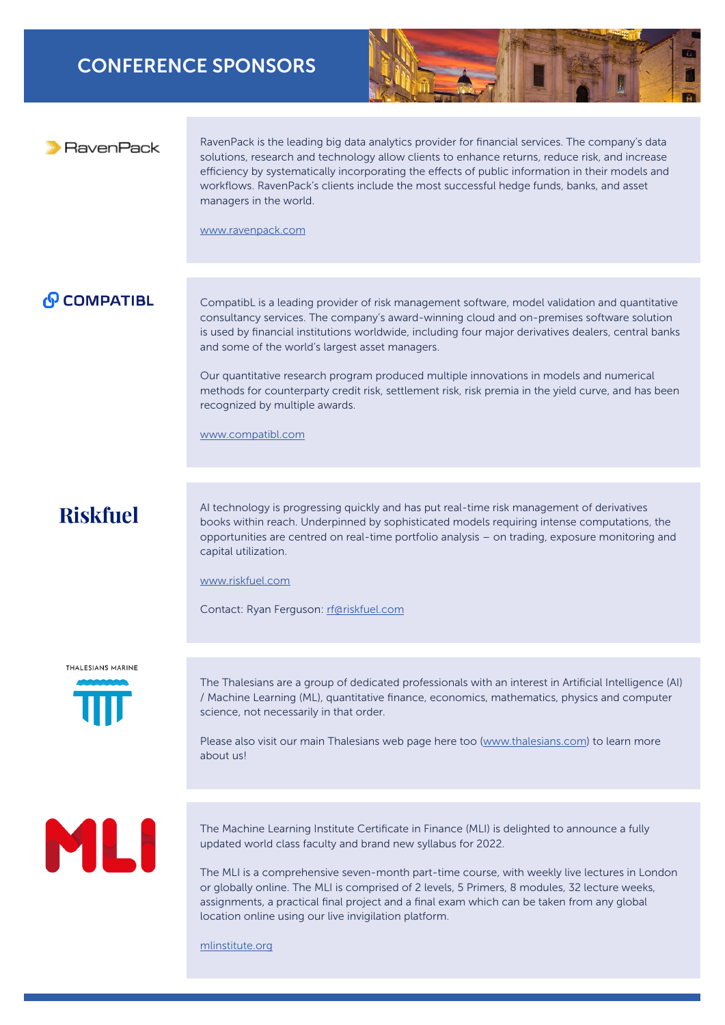# CONFERENCE SPONSORS



# RavenPack

RavenPack is the leading big data analytics provider for financial services. The company's data solutions, research and technology allow clients to enhance returns, reduce risk, and increase efficiency by systematically incorporating the effects of public information in their models and workflows. RavenPack's clients include the most successful hedge funds, banks, and asset managers in the world.

[www.ravenpack.com](http://www.ravenpack.com)

# **PCOMPATIBL**

CompatibL is a leading provider of risk management software, model validation and quantitative consultancy services. The company's award-winning cloud and on-premises software solution is used by financial institutions worldwide, including four major derivatives dealers, central banks and some of the world's largest asset managers.

Our quantitative research program produced multiple innovations in models and numerical methods for counterparty credit risk, settlement risk, risk premia in the yield curve, and has been recognized by multiple awards.

[www.compatibl.com](https://www.compatibl.com)

# **Riskfuel**

AI technology is progressing quickly and has put real-time risk management of derivatives books within reach. Underpinned by sophisticated models requiring intense computations, the opportunities are centred on real-time portfolio analysis – on trading, exposure monitoring and capital utilization.

[www.riskfuel.com](http://www.riskfuel.com)

Contact: Ryan Ferguson: [rf@riskfuel.com](mailto:rf%40riskfuel.com?subject=)

#### **THALESIANS MARINE**



The Thalesians are a group of dedicated professionals with an interest in Artificial Intelligence (AI) / Machine Learning (ML), quantitative finance, economics, mathematics, physics and computer science, not necessarily in that order.

Please also visit our main Thalesians web page here too ([www.thalesians.com\)](http://www.thalesians.com) to learn more about us!

# ML

The Machine Learning Institute Certificate in Finance (MLI) is delighted to announce a fully updated world class faculty and brand new syllabus for 2022.

The MLI is a comprehensive seven-month part-time course, with weekly live lectures in London or globally online. The MLI is comprised of 2 levels, 5 Primers, 8 modules, 32 lecture weeks, assignments, a practical final project and a final exam which can be taken from any global location online using our live invigilation platform.

[mlinstitute.org](https://mlinstitute.org)